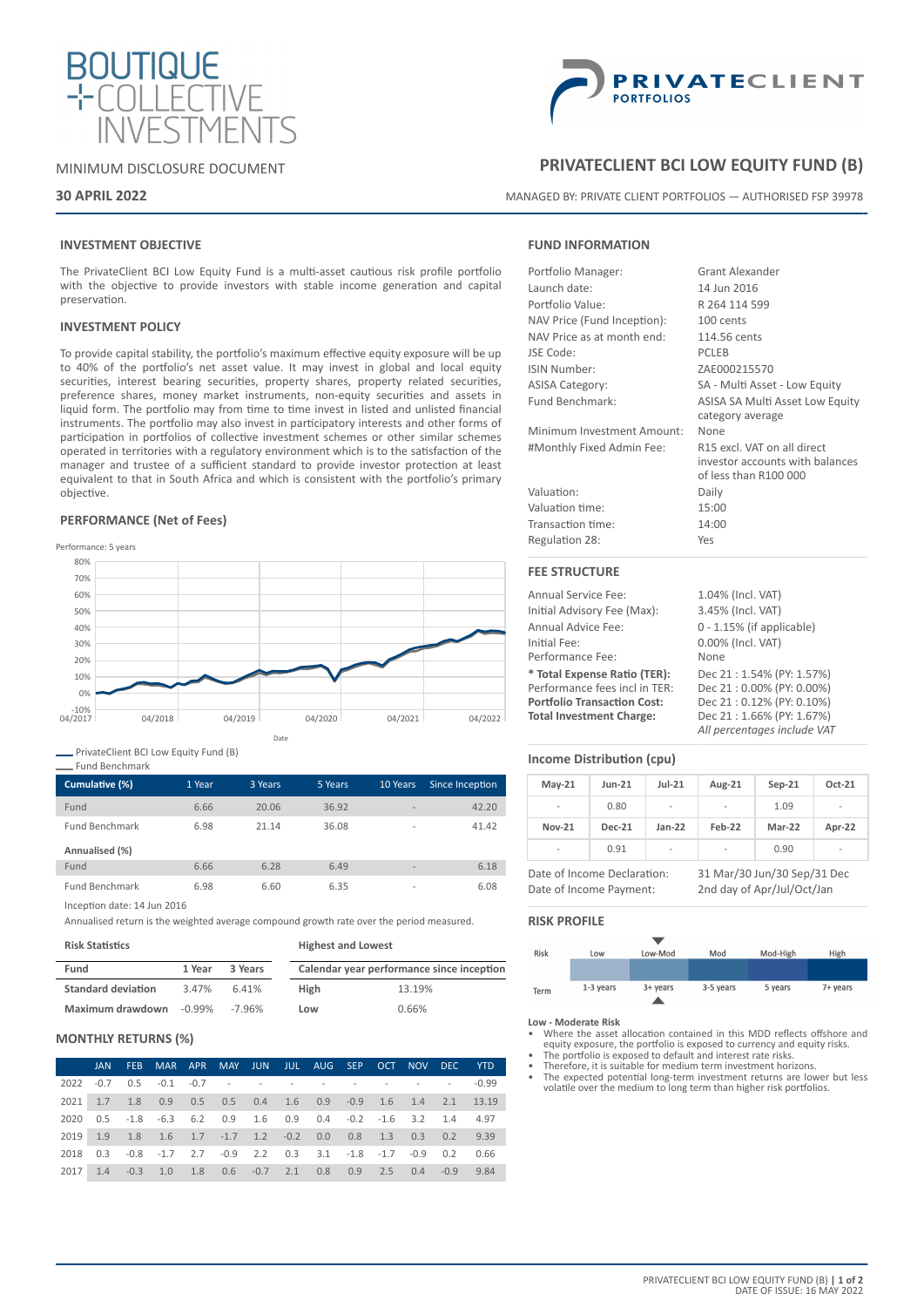

# MINIMUM DISCLOSURE DOCUMENT

# **30 APRIL 2022**



# **PRIVATECLIENT BCI LOW EQUITY FUND (B)**

MANAGED BY: PRIVATE CLIENT PORTFOLIOS — AUTHORISED FSP 39978

# **INVESTMENT OBJECTIVE**

The PrivateClient BCI Low Equity Fund is a multi-asset cautious risk profile portfolio with the objective to provide investors with stable income generation and capital preservation.

### **INVESTMENT POLICY**

To provide capital stability, the portfolio's maximum effective equity exposure will be up to 40% of the portfolio's net asset value. It may invest in global and local equity securities, interest bearing securities, property shares, property related securities, preference shares, money market instruments, non-equity securities and assets in liquid form. The portfolio may from time to time invest in listed and unlisted financial instruments. The portfolio may also invest in participatory interests and other forms of participation in portfolios of collective investment schemes or other similar schemes operated in territories with a regulatory environment which is to the satisfaction of the manager and trustee of a sufficient standard to provide investor protection at least equivalent to that in South Africa and which is consistent with the portfolio's primary objective.

### **PERFORMANCE (Net of Fees)**



PrivateClient BCI Low Equity Fund (B)

### Fund Benchmark

| Cumulative (%)        | 1 Year | 3 Years | 5 Years | 10 Years                 | Since Inception |
|-----------------------|--------|---------|---------|--------------------------|-----------------|
| Fund                  | 6.66   | 20.06   | 36.92   | $\overline{\phantom{a}}$ | 42.20           |
| <b>Fund Benchmark</b> | 6.98   | 21 14   | 36.08   | $\overline{a}$           | 41.42           |
| Annualised (%)        |        |         |         |                          |                 |
| Fund                  | 6.66   | 6.28    | 6.49    | $\overline{\phantom{a}}$ | 6.18            |
| <b>Fund Benchmark</b> | 6.98   | 6.60    | 6.35    | $\overline{\phantom{a}}$ | 6.08            |

Inception date: 14 Jun 2016

Annualised return is the weighted average compound growth rate over the period measured.

| <b>Risk Statistics</b> |  |  |
|------------------------|--|--|
|------------------------|--|--|

| <b>Risk Statistics</b>    |           |         | <b>Highest and Lowest</b> |                                           |  |  |
|---------------------------|-----------|---------|---------------------------|-------------------------------------------|--|--|
| Fund                      | 1 Year    | 3 Years |                           | Calendar year performance since inception |  |  |
| <b>Standard deviation</b> | 3.47%     | 6.41%   | <b>High</b>               | 13.19%                                    |  |  |
| Maximum drawdown          | $-0.99\%$ | -7.96%  | Low                       | 0.66%                                     |  |  |

## **MONTHLY RETURNS (%)**

|      | JAN. | FEB.   | MAR APR MAY JUN JUL AUG SEP OCT NOV DEC YTD                                          |  |  |  |  |         |
|------|------|--------|--------------------------------------------------------------------------------------|--|--|--|--|---------|
|      |      |        |                                                                                      |  |  |  |  | $-0.99$ |
| 2021 |      |        | 1.7 1.8 0.9 0.5 0.5 0.4 1.6 0.9 -0.9 1.6 1.4 2.1 13.19                               |  |  |  |  |         |
| 2020 |      |        | 0.5 -1.8 -6.3 6.2 0.9 1.6 0.9 0.4 -0.2 -1.6 3.2 1.4 4.97                             |  |  |  |  |         |
| 2019 |      |        | 1.9 1.8 1.6 1.7 -1.7 1.2 -0.2 0.0 0.8 1.3 0.3 0.2 9.39                               |  |  |  |  |         |
| 2018 |      |        | $0.3$ $-0.8$ $-1.7$ $2.7$ $-0.9$ $2.2$ $0.3$ $3.1$ $-1.8$ $-1.7$ $-0.9$ $0.2$ $0.66$ |  |  |  |  |         |
| 2017 | 1.4  | $-0.3$ | 1.0 1.8 0.6 -0.7 2.1 0.8 0.9 2.5 0.4 -0.9                                            |  |  |  |  | 9.84    |

# **FUND INFORMATION**

| Portfolio Manager:          | Grant Alexander                 |
|-----------------------------|---------------------------------|
| Launch date:                | 14 Jun 2016                     |
| Portfolio Value:            | R 264 114 599                   |
| NAV Price (Fund Inception): | 100 cents                       |
| NAV Price as at month end:  | 114.56 cents                    |
| JSE Code:                   | <b>PCLEB</b>                    |
| ISIN Number:                | ZAE000215570                    |
| <b>ASISA Category:</b>      | SA - Multi Asset - Low Equity   |
| Fund Benchmark:             | ASISA SA Multi Asset Low Equity |
|                             | category average                |
| Minimum Investment Amount:  | None                            |
| #Monthly Fixed Admin Fee:   | R15 excl. VAT on all direct     |
|                             | investor accounts with balances |
|                             | of less than R100 000           |
| Valuation:                  | Daily                           |
| Valuation time:             | 15:00                           |
| Transaction time:           | 14:00                           |
| Regulation 28:              | Yes                             |
| <b>FEE STRUCTURE</b>        |                                 |
| Annual Service Fee:         | 1.04% (Incl. VAT)               |

# Initial Advisory Fee (Max): 3.45% (Incl. VAT)

| Annual Advice Fee:                 | $0 - 1.15\%$ (if applicable) |
|------------------------------------|------------------------------|
| Initial Fee:                       | 0.00% (Incl. VAT)            |
| Performance Fee:                   | None                         |
| * Total Expense Ratio (TER):       | Dec 21: 1.54% (PY: 1.57%)    |
| Performance fees incl in TER:      | Dec 21:0.00% (PY: 0.00%)     |
| <b>Portfolio Transaction Cost:</b> | Dec 21:0.12% (PY: 0.10%)     |
| <b>Total Investment Charge:</b>    | Dec 21:1.66% (PY: 1.67%)     |
|                                    | All percentages include VAT  |

# **Income Distribution (cpu)**

| $May-21$                 | <b>Jun-21</b> | $Jul-21$                 | Aug-21                   | $Sep-21$ | Oct-21                   |
|--------------------------|---------------|--------------------------|--------------------------|----------|--------------------------|
| $\overline{\phantom{a}}$ | 0.80          | $\overline{\phantom{a}}$ | $\overline{\phantom{a}}$ | 1.09     | -                        |
| <b>Nov-21</b>            | <b>Dec-21</b> | $Jan-22$                 | Feb-22                   | Mar-22   | Apr-22                   |
| $\overline{\phantom{a}}$ | 0.91          | $\overline{\phantom{a}}$ | $\overline{\phantom{a}}$ | 0.90     | $\overline{\phantom{a}}$ |

Date of Income Declaration: 31 Mar/30 Jun/30 Sep/31 Dec Date of Income Payment: 2nd day of Apr/Jul/Oct/Jan

### **RISK PROFILE**



- **Low Moderate Risk** Where the asset allocation contained in this MDD reflects offshore and equity exposure, the portfolio is exposed to currency and equity risks. The portfolio is exposed to default and interest rate risks.
- Therefore, it is suitable for medium term investment horizons.
- The expected potential long-term investment returns are lower but less volatile over the medium to long term than higher risk portfolios.